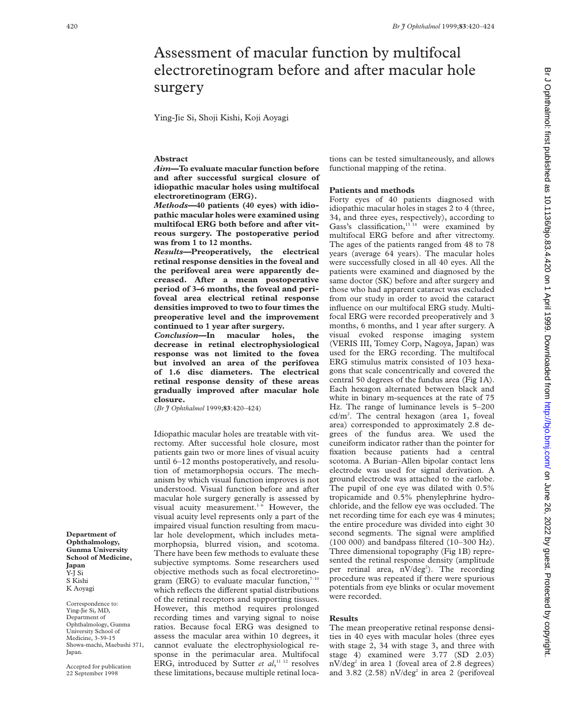# Assessment of macular function by multifocal electroretinogram before and after macular hole surgery

Ying-Jie Si, Shoji Kishi, Koji Aoyagi

## **Abstract**

*Aim***—To evaluate macular function before and after successful surgical closure of idiopathic macular holes using multifocal electroretinogram (ERG).**

*Methods—***40 patients (40 eyes) with idiopathic macular holes were examined using multifocal ERG both before and after vitreous surgery. The postoperative period was from 1 to 12 months.**

*Results***—Preoperatively, the electrical retinal response densities in the foveal and the perifoveal area were apparently decreased. After a mean postoperative period of 3–6 months, the foveal and perifoveal area electrical retinal response densities improved to two to four times the preoperative level and the improvement continued to 1 year after surgery.**

*Conclusion***—In macular holes, the decrease in retinal electrophysiological response was not limited to the fovea but involved an area of the perifovea of 1.6 disc diameters. The electrical retinal response density of these areas gradually improved after macular hole closure.**

(*Br J Ophthalmol* 1999;**83**:420–424)

Idiopathic macular holes are treatable with vitrectomy. After successful hole closure, most patients gain two or more lines of visual acuity until 6–12 months postoperatively, and resolution of metamorphopsia occurs. The mechanism by which visual function improves is not understood. Visual function before and after macular hole surgery generally is assessed by visual acuity measurement.<sup>1-6</sup> However, the visual acuity level represents only a part of the impaired visual function resulting from macular hole development, which includes metamorphopsia, blurred vision, and scotoma. There have been few methods to evaluate these subjective symptoms. Some researchers used objective methods such as focal electroretinogram (ERG) to evaluate macular function, $7-10$ which reflects the different spatial distributions of the retinal receptors and supporting tissues. However, this method requires prolonged recording times and varying signal to noise ratios. Because focal ERG was designed to assess the macular area within 10 degrees, it cannot evaluate the electrophysiological response in the perimacular area. Multifocal ERG, introduced by Sutter et al,<sup>11 12</sup> resolves these limitations, because multiple retinal locations can be tested simultaneously, and allows functional mapping of the retina.

#### **Patients and methods**

Forty eyes of 40 patients diagnosed with idiopathic macular holes in stages 2 to 4 (three, 34, and three eyes, respectively), according to Gass's classification,  $13^{14}$  were examined by multifocal ERG before and after vitrectomy. The ages of the patients ranged from 48 to 78 years (average 64 years). The macular holes were successfully closed in all 40 eyes. All the patients were examined and diagnosed by the same doctor (SK) before and after surgery and those who had apparent cataract was excluded from our study in order to avoid the cataract influence on our multifocal ERG study. Multifocal ERG were recorded preoperatively and 3 months, 6 months, and 1 year after surgery. A visual evoked response imaging system (VERIS III, Tomey Corp, Nagoya, Japan) was used for the ERG recording. The multifocal ERG stimulus matrix consisted of 103 hexagons that scale concentrically and covered the central 50 degrees of the fundus area (Fig 1A). Each hexagon alternated between black and white in binary m-sequences at the rate of 75 Hz. The range of luminance levels is 5–200 cd/m2 . The central hexagon (area 1, foveal area) corresponded to approximately 2.8 degrees of the fundus area. We used the cuneiform indicator rather than the pointer for fixation because patients had a central scotoma. A Burian–Allen bipolar contact lens electrode was used for signal derivation. A ground electrode was attached to the earlobe. The pupil of one eye was dilated with 0.5% tropicamide and 0.5% phenylephrine hydrochloride, and the fellow eye was occluded. The net recording time for each eye was 4 minutes; the entire procedure was divided into eight 30 second segments. The signal were amplified (100 000) and bandpass filtered (10–300 Hz). Three dimensional topography (Fig 1B) represented the retinal response density (amplitude per retinal area, nV/deg<sup>2</sup>). The recording procedure was repeated if there were spurious potentials from eye blinks or ocular movement were recorded.

#### **Results**

The mean preoperative retinal response densities in 40 eyes with macular holes (three eyes with stage 2, 34 with stage 3, and three with stage 4) examined were 3.77 (SD 2.03)  $nV/deg<sup>2</sup>$  in area 1 (foveal area of 2.8 degrees) and 3.82 (2.58)  $nV/deg<sup>2</sup>$  in area 2 (perifoveal

Br J Ophthalmol: first published as 10.1136/bjo.83.4.420 on 1 April 1999. Downloaded from http://bjo.bmj.com/ on June 26, 2022 by guest. Protected by copyright br June 26, 2022 by guest Protected by guest. Protected as 10.1139. Downloaded as 10.1139. Downloaded as 10.1147. Disclopted as 10.1141. Downloaded by and the 10.1136/bjo.83.2.by Sub-

**Department of Ophthalmology, Gunma University School of Medicine, Japan** Y-J Si S Kishi K Aoyagi

Correspondence to: Ying-Jie Si, MD, Department of Ophthalmology, Gunma University School of Medicine, 3-39-15 Showa-machi, Maebashi 371, Japan.

Accepted for publication 22 September 1998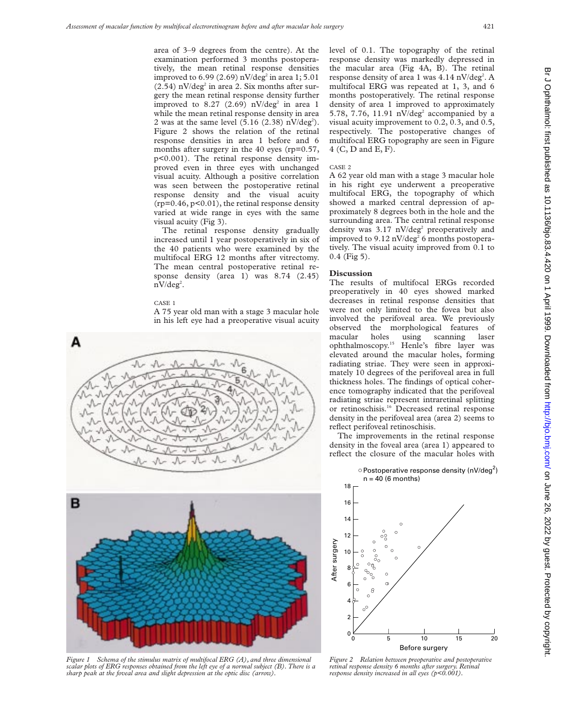area of 3–9 degrees from the centre). At the examination performed 3 months postoperatively, the mean retinal response densities improved to  $6.99(2.69)$  nV/deg<sup>2</sup> in area 1;  $5.01$  $(2.54)$  nV/deg<sup>2</sup> in area 2. Six months after surgery the mean retinal response density further improved to 8.27 (2.69)  $nV/deg<sup>2</sup>$  in area 1 while the mean retinal response density in area 2 was at the same level  $(5.16 (2.38) nV/deg<sup>2</sup>)$ . Figure 2 shows the relation of the retinal response densities in area 1 before and 6 months after surgery in the 40 eyes (rp=0.57, p<0.001). The retinal response density improved even in three eyes with unchanged visual acuity. Although a positive correlation was seen between the postoperative retinal response density and the visual acuity  $(rp=0.46, p<0.01)$ , the retinal response density varied at wide range in eyes with the same visual acuity (Fig 3).

The retinal response density gradually increased until 1 year postoperatively in six of the 40 patients who were examined by the multifocal ERG 12 months after vitrectomy. The mean central postoperative retinal response density (area 1) was 8.74 (2.45)  $nV/deg<sup>2</sup>$ .

#### CASE 1

A 75 year old man with a stage 3 macular hole in his left eye had a preoperative visual acuity





*Figure 1 Schema of the stimulus matrix of multifocal ERG (A), and three dimensional scalar plots of ERG responses obtained from the left eye of a normal subject (B). There is a sharp peak at the foveal area and slight depression at the optic disc (arrow).*

level of 0.1. The topography of the retinal response density was markedly depressed in the macular area (Fig 4A, B). The retinal response density of area 1 was 4.14 nV/deg<sup>2</sup>. A multifocal ERG was repeated at 1, 3, and 6 months postoperatively. The retinal response density of area 1 improved to approximately 5.78, 7.76, 11.91  $nV/deg<sup>2</sup>$  accompanied by a visual acuity improvement to 0.2, 0.3, and 0.5, respectively. The postoperative changes of multifocal ERG topography are seen in Figure 4 (C, D and E, F).

### CASE 2

A 62 year old man with a stage 3 macular hole in his right eye underwent a preoperative multifocal ERG, the topography of which showed a marked central depression of approximately 8 degrees both in the hole and the surrounding area. The central retinal response density was  $3.17 \frac{\text{nV}}{\text{deg}^2}$  preoperatively and improved to  $9.12 \text{ nV/deg}^2$  6 months postoperatively. The visual acuity improved from 0.1 to 0.4 (Fig 5).

## **Discussion**

The results of multifocal ERGs recorded preoperatively in 40 eyes showed marked decreases in retinal response densities that were not only limited to the fovea but also involved the perifoveal area. We previously observed the morphological features of macular holes using scanning laser ophthalmoscopy.15 Henle's fibre layer was elevated around the macular holes, forming radiating striae. They were seen in approximately 10 degrees of the perifoveal area in full thickness holes. The findings of optical coherence tomography indicated that the perifoveal radiating striae represent intraretinal splitting or retinoschisis.16 Decreased retinal response density in the perifoveal area (area 2) seems to reflect perifoveal retinoschisis.

The improvements in the retinal response density in the foveal area (area 1) appeared to reflect the closure of the macular holes with



*Figure 2 Relation between preoperative and postoperative retinal response density 6 months after surgery. Retinal response density increased in all eyes (p<0.001).*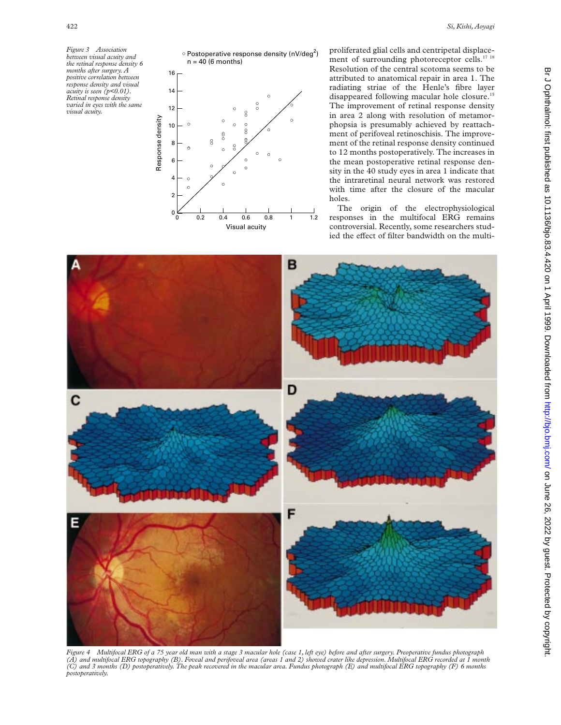

proliferated glial cells and centripetal displacement of surrounding photoreceptor cells.<sup>17 18</sup> Resolution of the central scotoma seems to be attributed to anatomical repair in area 1. The radiating striae of the Henle's fibre layer disappeared following macular hole closure.<sup>15</sup> The improvement of retinal response density in area 2 along with resolution of metamorphopsia is presumably achieved by reattachment of perifoveal retinoschisis. The improvement of the retinal response density continued to 12 months postoperatively. The increases in the mean postoperative retinal response density in the 40 study eyes in area 1 indicate that the intraretinal neural network was restored with time after the closure of the macular holes.

The origin of the electrophysiological responses in the multifocal ERG remains controversial. Recently, some researchers studied the effect of filter bandwidth on the multi-



*Figure 4 Multifocal ERG of a 75 year old man with a stage 3 macular hole (case 1, left eye) before and after surgery. Preoperative fundus photograph* (A) and multifocal ERG topography (B). Foveal and perifoveal area (areas 1 and 2) showed crater like depression. Multifocal ERG recorded at 1 month<br>(C) and 3 months (D) postoperatively. The peak recovered in the macular ar *postoperatively.*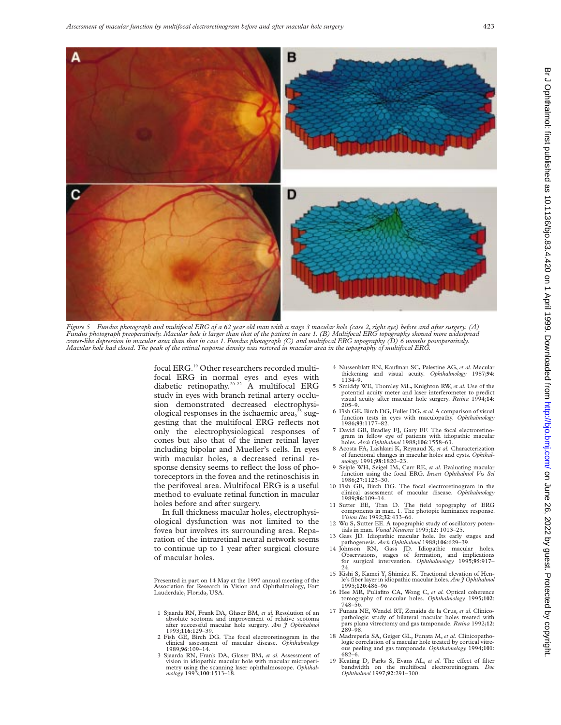

*Figure 5 Fundus photograph and multifocal ERG of a 62 year old man with a stage 3 macular hole (case 2, right eye) before and after surgery. (A)* Fundus photograph preoperatively. Macular hole is larger than that of the patient in case 1. (B) Multifocal ERG topography showed more widespread<br>crater-like depression in macular area than that in case 1. Fundus photograp *Macular hole had closed. The peak of the retinal response density was restored in macular area in the topography of multifocal ERG.*

focal ERG.19 Other researchers recorded multifocal ERG in normal eyes and eyes with diabetic retinopathy.<sup>20–22</sup> A multifocal ERG study in eyes with branch retinal artery occlusion demonstrated decreased electrophysiological responses in the ischaemic area, $^{23}$  suggesting that the multifocal ERG reflects not only the electrophysiological responses of cones but also that of the inner retinal layer including bipolar and Mueller's cells. In eyes with macular holes, a decreased retinal response density seems to reflect the loss of photoreceptors in the fovea and the retinoschisis in the perifoveal area. Multifocal ERG is a useful method to evaluate retinal function in macular holes before and after surgery.

In full thickness macular holes, electrophysiological dysfunction was not limited to the fovea but involves its surrounding area. Reparation of the intraretinal neural network seems to continue up to 1 year after surgical closure of macular holes.

Presented in part on 14 May at the 1997 annual meeting of the Association for Research in Vision and Ophthalmology, Fort Lauderdale, Florida, USA.

- 1 Sjaarda RN, Frank DA, Glaser BM, *et al.* Resolution of an absolute scotoma and improvement of relative scotoma after successful macular hole surgery. *Am J Ophthalmol* 1993;**116**:129–39.
- 2 Fish GE, Birch DG. The focal electroretinogram in the clinical assessment of macular disease. *Ophthalmology* 1989;**96**:109–14.
- 3 Sjaarda RN, Frank DA, Glaser BM, *et al.* Assessment of vision in idiopathic macular hole with macular microperi-metry using the scanning laser ophthalmoscope. *Ophthalmology* 1993;**100**:1513–18.
- 4 Nussenblatt RN, Kaufman SC, Palestine AG, *et al.* Macular thickening and visual acuity. *Ophthalmology* 1987;**94**: 1134–9.
- 5 Smiddy WE, Thomley ML, Knighton RW, *et al.* Use of the potential acuity meter and laser interferometer to predict visual acuity after macular hole surgery. *Retina* 1994;**14**: 205–9.
- 6 Fish GE, Birch DG, Fuller DG,*et al.*A comparison of visual function tests in eyes with maculopathy. *Ophthalmology* 1986;**93**:1177–82.
- 7 David GB, Bradley FJ, Gary EF. The focal electroretinogram in fellow eye of patients with idiopathic macular holes. *Arch Ophthalmol* 1988;**106**:1558–63.
- 8 Acosta FA, Lashkari K, Reynaud X, *et al.* Characterization of functional changes in macular holes and cysts*. Ophthal-mology* 1991;**98**:1820–23.
- 9 Seiple WH, Seigel IM, Carr RE, *et al.* Evaluating macular function using the focal ERG*. Invest Ophthalmol Vis Sci* 1986;**27**:1123–30.
- 10 Fish GE, Birch DG. The focal electroretinogram in the clinical assessment of macular disease. *Ophthalmology* 1989;**96**:109–14.
- 11 Sutter EE, Tran D. The field topography of ERG components in man. 1. The photopic luminance response. *Vision Res* 1992;**32**:433–66.
- 12 Wu S, Sutter EE. A topographic study of oscillatory poten-
- tials in man. *Visual Neurosci* 1995;**12**: 1013–25. 13 Gass JD. Idiopathic macular hole. Its early
- pathogenesis. Arch Ophthalmol 1988;106:629-39.<br>14 Johnson RN, Gass JD. Idiopathic macular holes.<br>Observations, stages of formation, and implications<br>for surgical intervention. Ophthalmology 1995;95:917- $24.$
- 15 Kishi S, Kamei Y, Shimizu K. Tractional elevation of Henle's fiber layer in idiopathic macular holes. *Am J Ophthalmol* 1995;**120**:486–96
- 16 Hee MR, Puliafito CA, Wong C, *et al.* Optical coherence tomography of macular holes. *Ophthalmology* 1995;**102**: 748–56.
- 17 Funata NE, Wendel RT, Zenaida de la Crus, *et al.* Clinicopathologic study of bilateral macular holes treated with pars plana vitrectomy and gas tamponade. *Retina* 1992;**12**: 289–98.
- 18 Madreperla SA, Geiger GL, Funata M, *et al.* Clinicopathologic correlation of a macular hole treated by cortical vitreous peeling and gas tamponade*. Ophthalmology* 1994;**101**: 682–6.
- 19 Keating D, Parks S, Evans AL, *et al.* The effect of filter bandwidth on the multifocal electroretinogram. *Doc Ophthalmol* 1997;**92**:291–300.